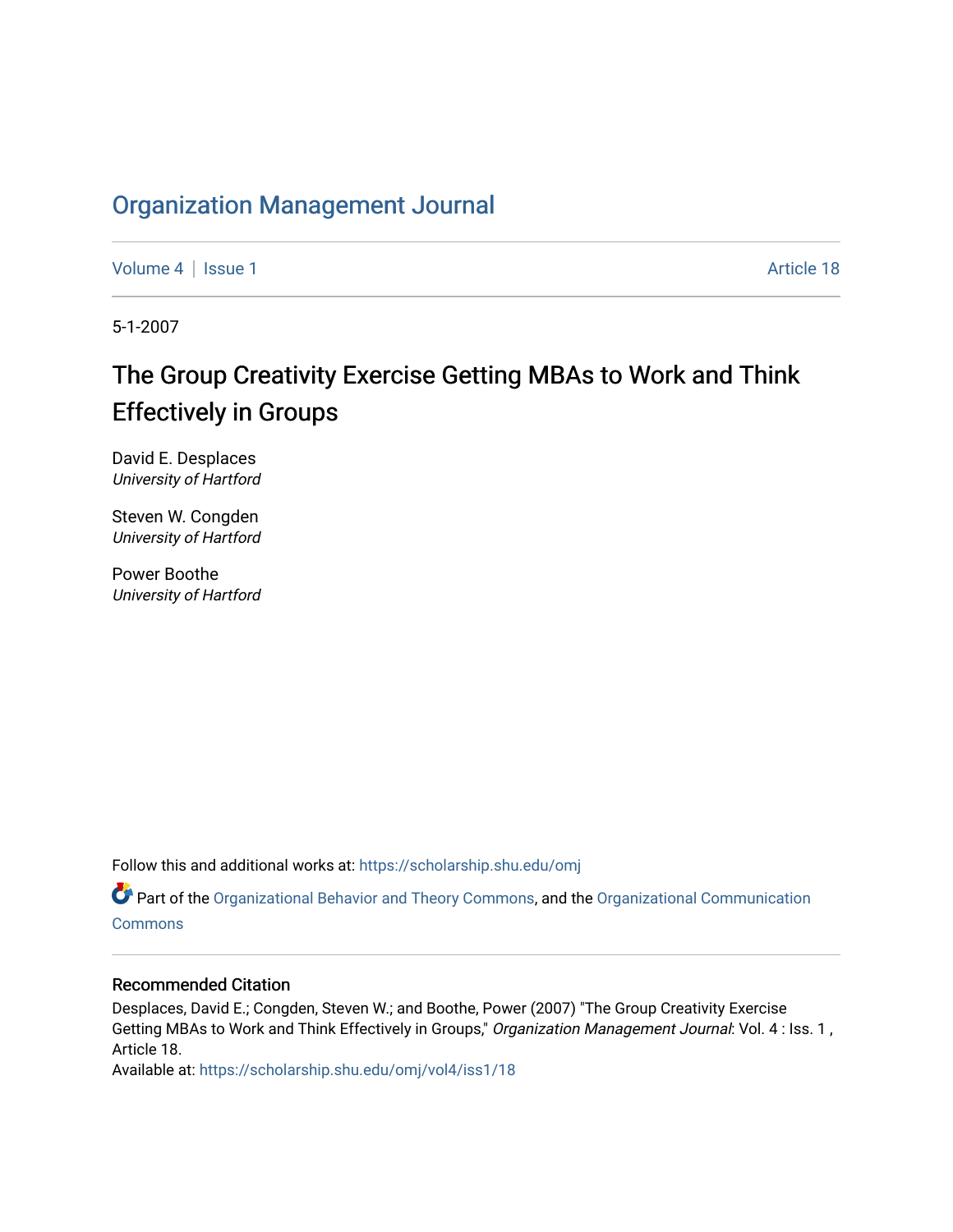### [Organization Management Journal](https://scholarship.shu.edu/omj)

[Volume 4](https://scholarship.shu.edu/omj/vol4) | [Issue 1](https://scholarship.shu.edu/omj/vol4/iss1) Article 18

5-1-2007

# The Group Creativity Exercise Getting MBAs to Work and Think Effectively in Groups

David E. Desplaces University of Hartford

Steven W. Congden University of Hartford

Power Boothe University of Hartford

Follow this and additional works at: [https://scholarship.shu.edu/omj](https://scholarship.shu.edu/omj?utm_source=scholarship.shu.edu%2Fomj%2Fvol4%2Fiss1%2F18&utm_medium=PDF&utm_campaign=PDFCoverPages) 

Part of the [Organizational Behavior and Theory Commons,](http://network.bepress.com/hgg/discipline/639?utm_source=scholarship.shu.edu%2Fomj%2Fvol4%2Fiss1%2F18&utm_medium=PDF&utm_campaign=PDFCoverPages) and the [Organizational Communication](http://network.bepress.com/hgg/discipline/335?utm_source=scholarship.shu.edu%2Fomj%2Fvol4%2Fiss1%2F18&utm_medium=PDF&utm_campaign=PDFCoverPages) **[Commons](http://network.bepress.com/hgg/discipline/335?utm_source=scholarship.shu.edu%2Fomj%2Fvol4%2Fiss1%2F18&utm_medium=PDF&utm_campaign=PDFCoverPages)** 

#### Recommended Citation

Desplaces, David E.; Congden, Steven W.; and Boothe, Power (2007) "The Group Creativity Exercise Getting MBAs to Work and Think Effectively in Groups," Organization Management Journal: Vol. 4 : Iss. 1, Article 18.

Available at: [https://scholarship.shu.edu/omj/vol4/iss1/18](https://scholarship.shu.edu/omj/vol4/iss1/18?utm_source=scholarship.shu.edu%2Fomj%2Fvol4%2Fiss1%2F18&utm_medium=PDF&utm_campaign=PDFCoverPages)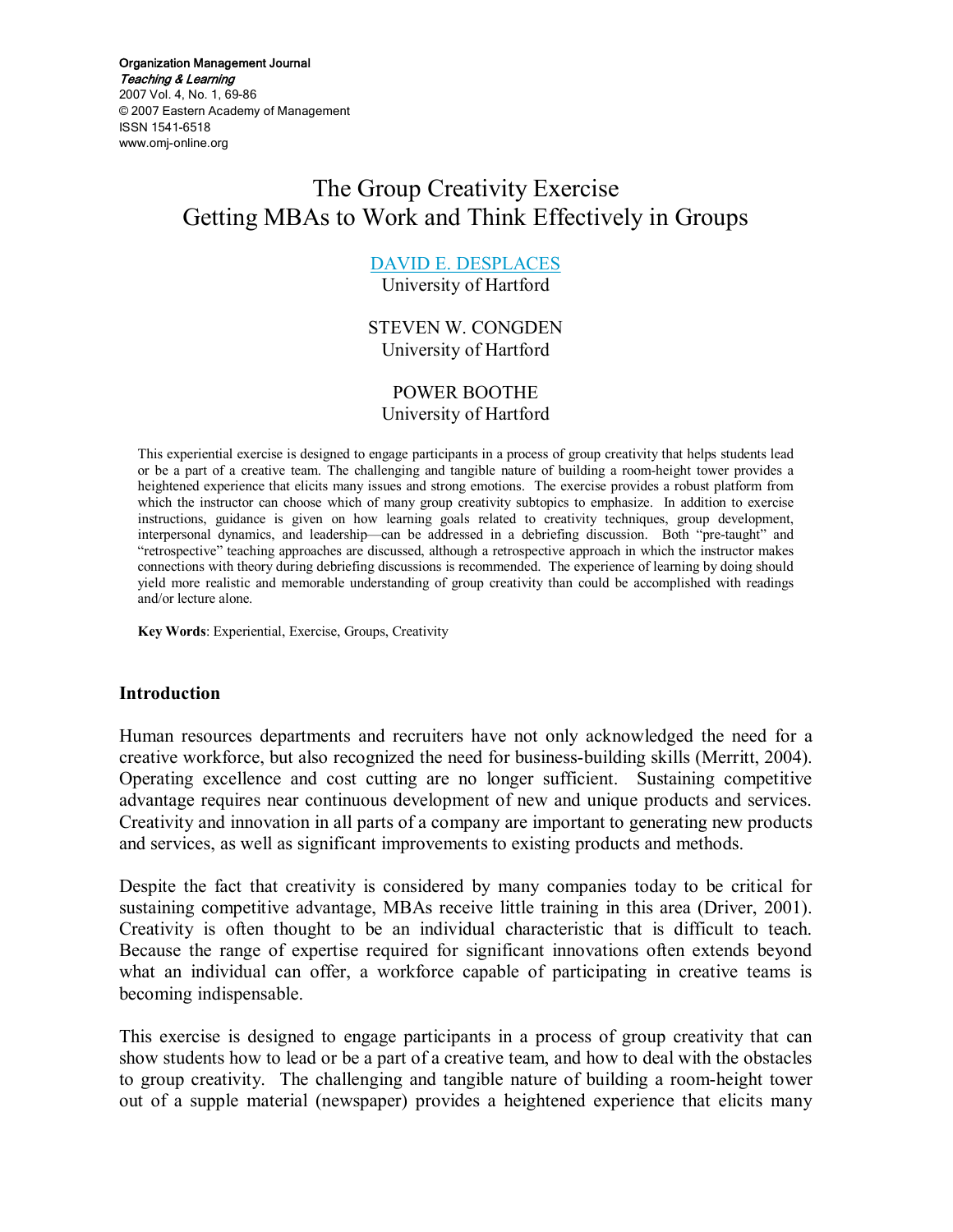Organization Management Journal Teaching & Learning 2007 Vol. 4, No. 1, 69-86 © 2007 Eastern Academy of Management ISSN 1541-6518 www.omj-online.org

## The Group Creativity Exercise Getting MBAs to Work and Think Effectively in Groups

#### DAVID E. [DESPLACES](mailto:desplaces@hartford.edu)

University of Hartford

#### STEVEN W. CONGDEN University of Hartford

#### POWER BOOTHE University of Hartford

This experiential exercise is designed to engage participants in a process of group creativity that helps students lead or be a part of a creative team. The challenging and tangible nature of building a room-height tower provides a heightened experience that elicits many issues and strong emotions. The exercise provides a robust platform from which the instructor can choose which of many group creativity subtopics to emphasize. In addition to exercise instructions, guidance is given on how learning goals related to creativity techniques, group development, interpersonal dynamics, and leadership—can be addressed in a debriefing discussion. Both "pretaught" and "retrospective" teaching approaches are discussed, although a retrospective approach in which the instructor makes connections with theory during debriefing discussions is recommended. The experience of learning by doing should yield more realistic and memorable understanding of group creativity than could be accomplished with readings and/or lecture alone.

**Key Words**: Experiential, Exercise, Groups, Creativity

#### **Introduction**

Human resources departments and recruiters have not only acknowledged the need for a creative workforce, but also recognized the need for business-building skills (Merritt, 2004). Operating excellence and cost cutting are no longer sufficient. Sustaining competitive advantage requires near continuous development of new and unique products and services. Creativity and innovation in all parts of a company are important to generating new products and services, as well as significant improvements to existing products and methods.

Despite the fact that creativity is considered by many companies today to be critical for sustaining competitive advantage, MBAs receive little training in this area (Driver, 2001). Creativity is often thought to be an individual characteristic that is difficult to teach. Because the range of expertise required for significant innovations often extends beyond what an individual can offer, a workforce capable of participating in creative teams is becoming indispensable.

This exercise is designed to engage participants in a process of group creativity that can show students how to lead or be a part of a creative team, and how to deal with the obstacles to group creativity. The challenging and tangible nature of building a roomheight tower out of a supple material (newspaper) provides a heightened experience that elicits many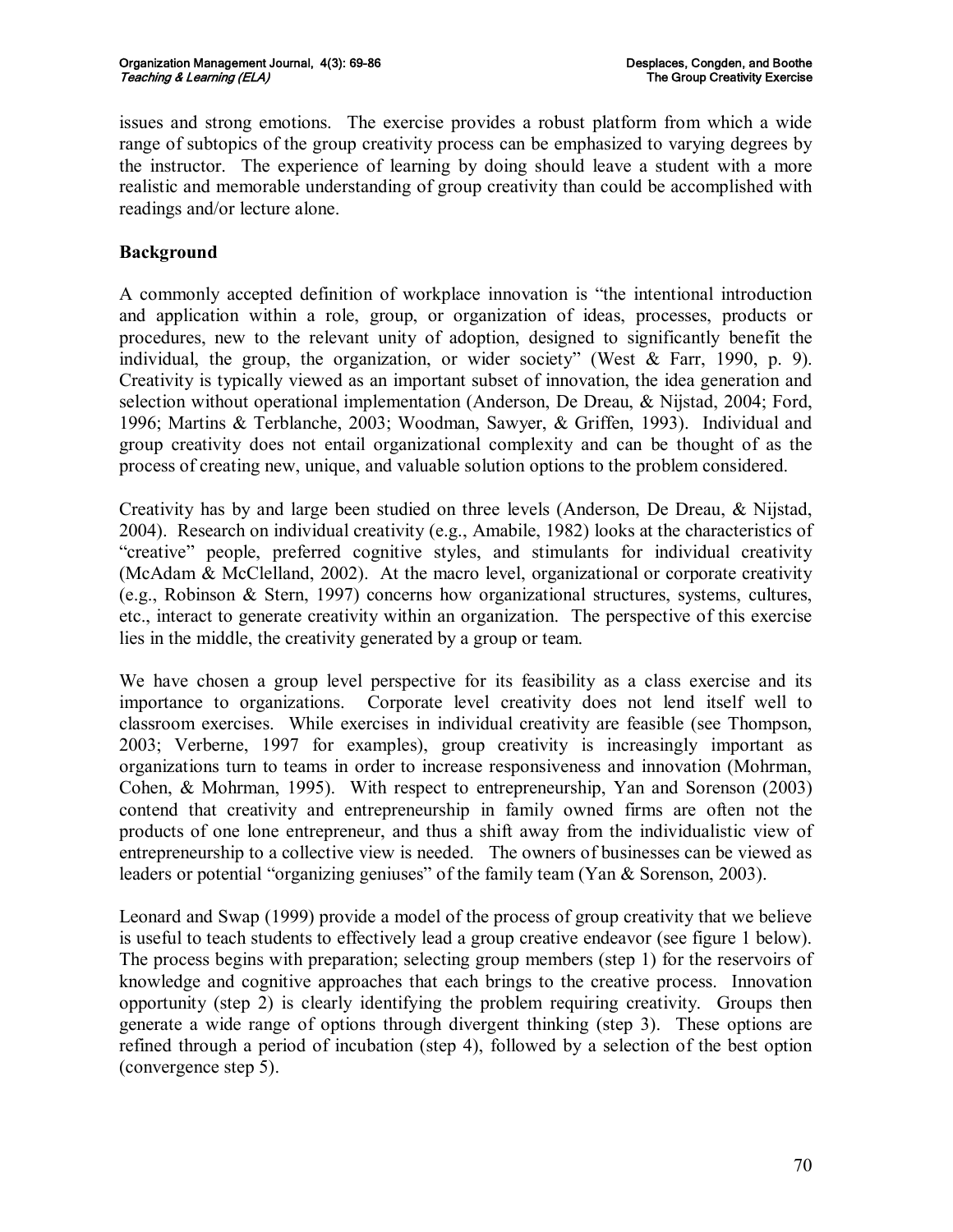issues and strong emotions. The exercise provides a robust platform from which a wide range of subtopics of the group creativity process can be emphasized to varying degrees by the instructor. The experience of learning by doing should leave a student with a more realistic and memorable understanding of group creativity than could be accomplished with readings and/or lecture alone.

#### **Background**

A commonly accepted definition of workplace innovation is "the intentional introduction and application within a role, group, or organization of ideas, processes, products or procedures, new to the relevant unity of adoption, designed to significantly benefit the individual, the group, the organization, or wider society" (West & Farr, 1990, p. 9). Creativity is typically viewed as an important subset of innovation, the idea generation and selection without operational implementation (Anderson, De Dreau, & Nijstad, 2004; Ford, 1996; Martins & Terblanche, 2003; Woodman, Sawyer, & Griffen, 1993). Individual and group creativity does not entail organizational complexity and can be thought of as the process of creating new, unique, and valuable solution options to the problem considered.

Creativity has by and large been studied on three levels (Anderson, De Dreau, & Nijstad, 2004). Research on individual creativity (e.g., Amabile, 1982) looks at the characteristics of "creative" people, preferred cognitive styles, and stimulants for individual creativity (McAdam & McClelland, 2002). At the macro level, organizational or corporate creativity (e.g., Robinson & Stern, 1997) concerns how organizational structures, systems, cultures, etc., interact to generate creativity within an organization. The perspective of this exercise lies in the middle, the creativity generated by a group or team.

We have chosen a group level perspective for its feasibility as a class exercise and its importance to organizations. Corporate level creativity does not lend itself well to classroom exercises. While exercises in individual creativity are feasible (see Thompson, 2003; Verberne, 1997 for examples), group creativity is increasingly important as organizations turn to teams in order to increase responsiveness and innovation (Mohrman, Cohen, & Mohrman, 1995). With respect to entrepreneurship, Yan and Sorenson (2003) contend that creativity and entrepreneurship in family owned firms are often not the products of one lone entrepreneur, and thus a shift away from the individualistic view of entrepreneurship to a collective view is needed. The owners of businesses can be viewed as leaders or potential "organizing geniuses" of the family team (Yan & Sorenson, 2003).

Leonard and Swap (1999) provide a model of the process of group creativity that we believe is useful to teach students to effectively lead a group creative endeavor (see figure 1 below). The process begins with preparation; selecting group members (step 1) for the reservoirs of knowledge and cognitive approaches that each brings to the creative process. Innovation opportunity (step 2) is clearly identifying the problem requiring creativity. Groups then generate a wide range of options through divergent thinking (step 3). These options are refined through a period of incubation (step 4), followed by a selection of the best option (convergence step 5).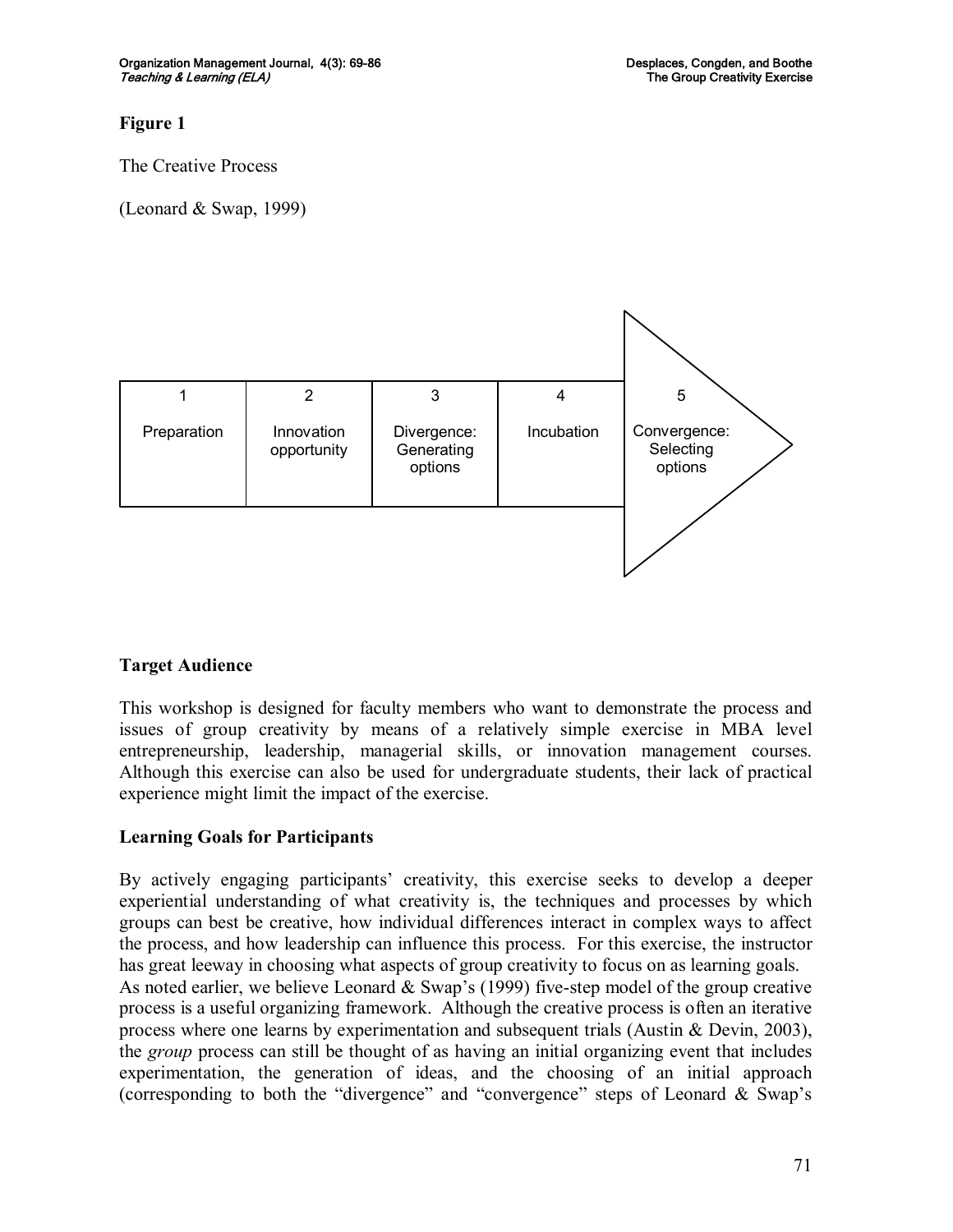#### **Figure 1**

The Creative Process

(Leonard & Swap, 1999)



#### **Target Audience**

This workshop is designed for faculty members who want to demonstrate the process and issues of group creativity by means of a relatively simple exercise in MBA level entrepreneurship, leadership, managerial skills, or innovation management courses. Although this exercise can also be used for undergraduate students, their lack of practical experience might limit the impact of the exercise.

#### **Learning Goals for Participants**

By actively engaging participants' creativity, this exercise seeks to develop a deeper experiential understanding of what creativity is, the techniques and processes by which groups can best be creative, how individual differences interact in complex ways to affect the process, and how leadership can influence this process. For this exercise, the instructor has great leeway in choosing what aspects of group creativity to focus on as learning goals. As noted earlier, we believe Leonard & Swap's (1999) five-step model of the group creative process is a useful organizing framework. Although the creative process is often an iterative process where one learns by experimentation and subsequent trials (Austin & Devin, 2003), the *group* process can still be thought of as having an initial organizing event that includes experimentation, the generation of ideas, and the choosing of an initial approach (corresponding to both the "divergence" and "convergence" steps of Leonard & Swap's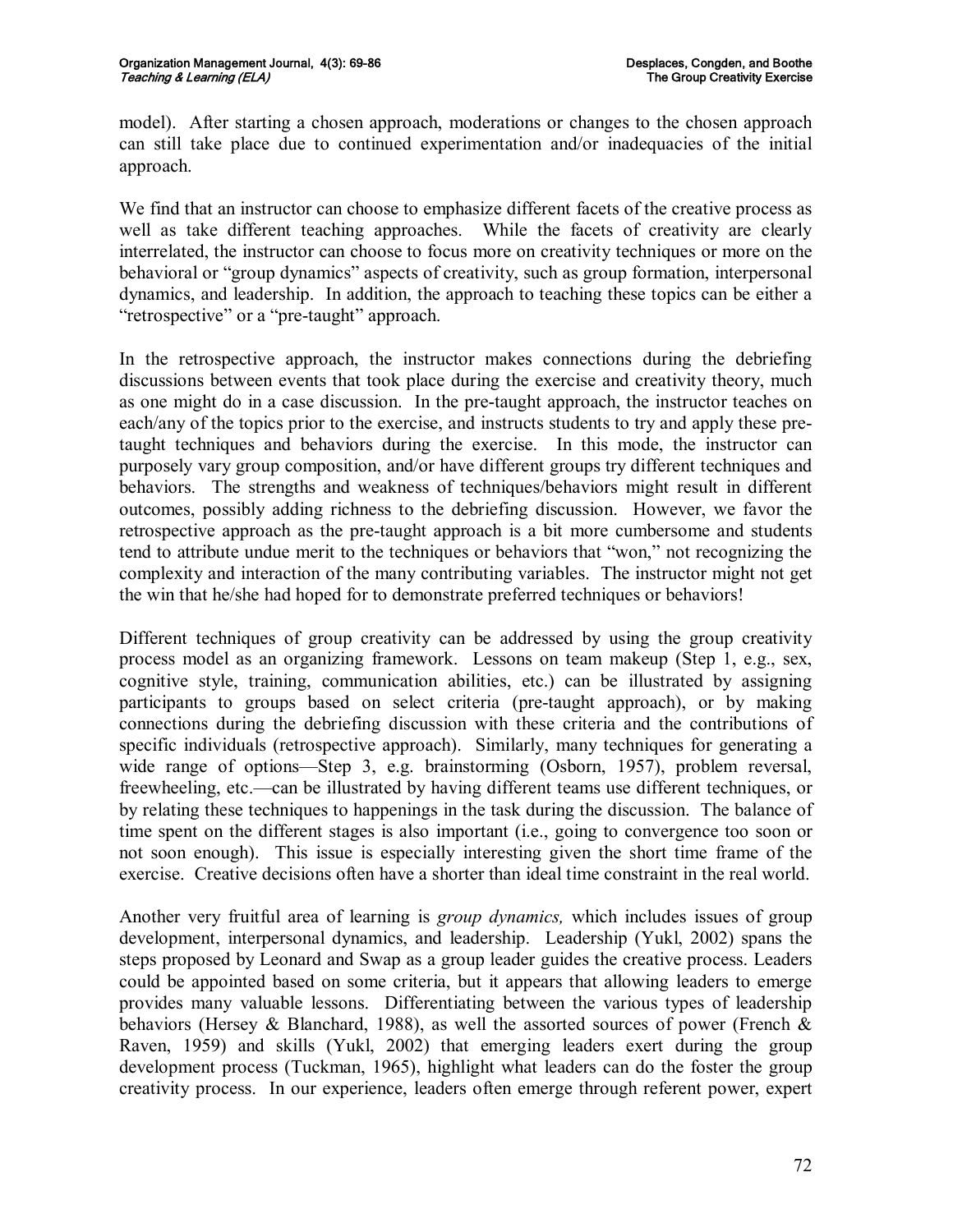model). After starting a chosen approach, moderations or changes to the chosen approach can still take place due to continued experimentation and/or inadequacies of the initial approach.

We find that an instructor can choose to emphasize different facets of the creative process as well as take different teaching approaches. While the facets of creativity are clearly interrelated, the instructor can choose to focus more on creativity techniques or more on the behavioral or "group dynamics" aspects of creativity, such as group formation, interpersonal dynamics, and leadership. In addition, the approach to teaching these topics can be either a "retrospective" or a "pre-taught" approach.

In the retrospective approach, the instructor makes connections during the debriefing discussions between events that took place during the exercise and creativity theory, much as one might do in a case discussion. In the pre-taught approach, the instructor teaches on each/any of the topics prior to the exercise, and instructs students to try and apply these pre taught techniques and behaviors during the exercise. In this mode, the instructor can purposely vary group composition, and/or have different groups try different techniques and behaviors. The strengths and weakness of techniques/behaviors might result in different outcomes, possibly adding richness to the debriefing discussion. However, we favor the retrospective approach as the pre-taught approach is a bit more cumbersome and students tend to attribute undue merit to the techniques or behaviors that "won," not recognizing the complexity and interaction of the many contributing variables. The instructor might not get the win that he/she had hoped for to demonstrate preferred techniques or behaviors!

Different techniques of group creativity can be addressed by using the group creativity process model as an organizing framework. Lessons on team makeup (Step 1, e.g., sex, cognitive style, training, communication abilities, etc.) can be illustrated by assigning participants to groups based on select criteria (pre-taught approach), or by making connections during the debriefing discussion with these criteria and the contributions of specific individuals (retrospective approach). Similarly, many techniques for generating a wide range of options—Step 3, e.g. brainstorming (Osborn, 1957), problem reversal, freewheeling, etc.—can be illustrated by having different teams use different techniques, or by relating these techniques to happenings in the task during the discussion. The balance of time spent on the different stages is also important (i.e., going to convergence too soon or not soon enough). This issue is especially interesting given the short time frame of the exercise. Creative decisions often have a shorter than ideal time constraint in the real world.

Another very fruitful area of learning is *group dynamics,* which includes issues of group development, interpersonal dynamics, and leadership. Leadership (Yukl, 2002) spans the steps proposed by Leonard and Swap as a group leader guides the creative process. Leaders could be appointed based on some criteria, but it appears that allowing leaders to emerge provides many valuable lessons. Differentiating between the various types of leadership behaviors (Hersey & Blanchard, 1988), as well the assorted sources of power (French  $\&$ Raven, 1959) and skills (Yukl, 2002) that emerging leaders exert during the group development process (Tuckman, 1965), highlight what leaders can do the foster the group creativity process. In our experience, leaders often emerge through referent power, expert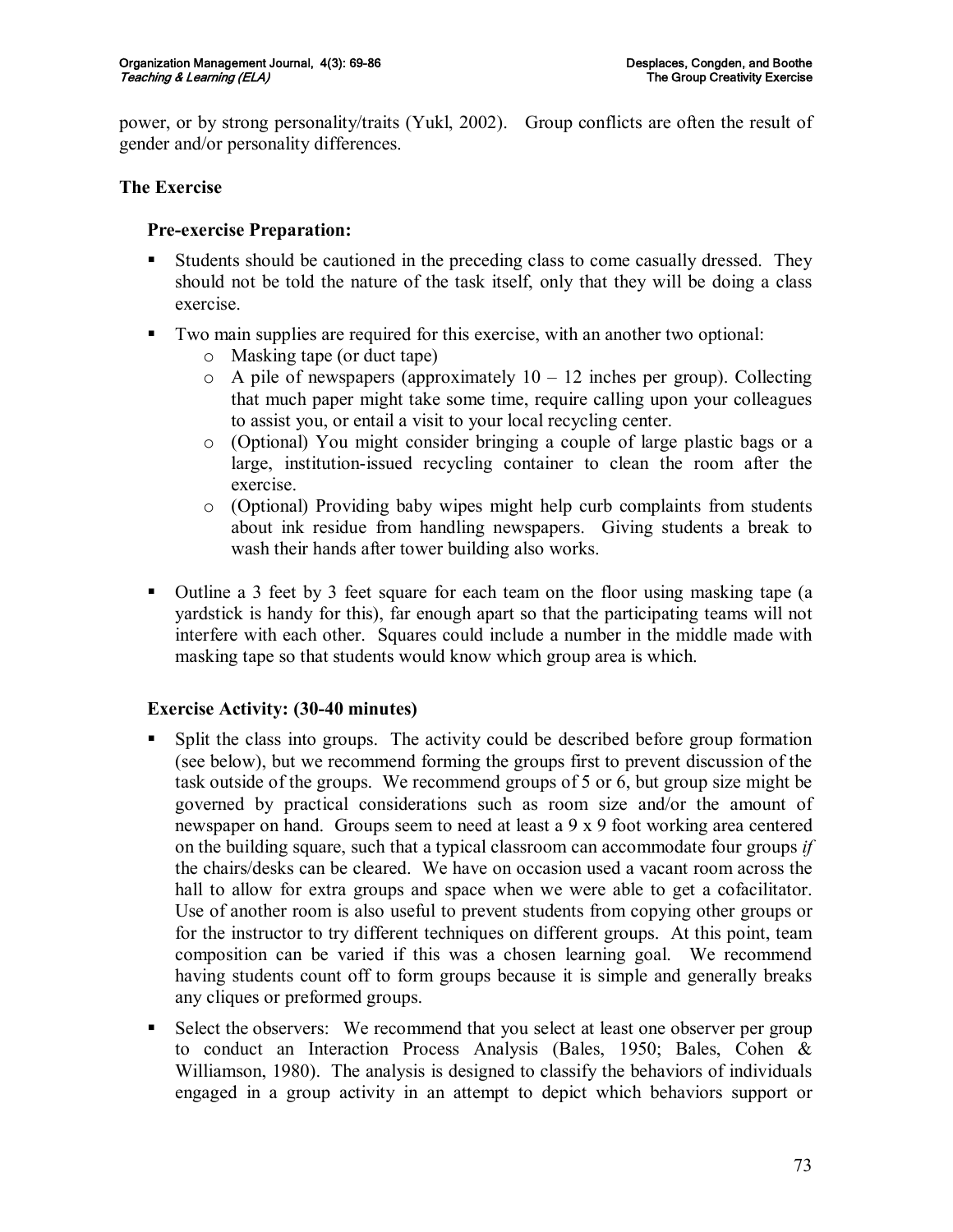power, or by strong personality/traits (Yukl, 2002). Group conflicts are often the result of gender and/or personality differences.

#### **The Exercise**

#### **Pre-exercise Preparation:**

- ß Students should be cautioned in the preceding class to come casually dressed. They should not be told the nature of the task itself, only that they will be doing a class exercise.
- ß Two main supplies are required for this exercise, with an another two optional:
	- o Masking tape (or duct tape)
	- $\circ$  A pile of newspapers (approximately 10 12 inches per group). Collecting that much paper might take some time, require calling upon your colleagues to assist you, or entail a visit to your local recycling center.
	- $\circ$  (Optional) You might consider bringing a couple of large plastic bags or a large, institution-issued recycling container to clean the room after the exercise.
	- $\circ$  (Optional) Providing baby wipes might help curb complaints from students about ink residue from handling newspapers. Giving students a break to wash their hands after tower building also works.
- ß Outline a 3 feet by 3 feet square for each team on the floor using masking tape (a yardstick is handy for this), far enough apart so that the participating teams will not interfere with each other. Squares could include a number in the middle made with masking tape so that students would know which group area is which.

#### **Exercise Activity: (3040 minutes)**

- ß Split the class into groups. The activity could be described before group formation (see below), but we recommend forming the groups first to prevent discussion of the task outside of the groups. We recommend groups of 5 or 6, but group size might be governed by practical considerations such as room size and/or the amount of newspaper on hand. Groups seem to need at least a 9 x 9 foot working area centered on the building square, such that a typical classroom can accommodate four groups *if* the chairs/desks can be cleared. We have on occasion used a vacant room across the hall to allow for extra groups and space when we were able to get a cofacilitator. Use of another room is also useful to prevent students from copying other groups or for the instructor to try different techniques on different groups. At this point, team composition can be varied if this was a chosen learning goal. We recommend having students count off to form groups because it is simple and generally breaks any cliques or preformed groups.
- ß Select the observers: We recommend that you select at least one observer per group to conduct an Interaction Process Analysis (Bales, 1950; Bales, Cohen & Williamson, 1980). The analysis is designed to classify the behaviors of individuals engaged in a group activity in an attempt to depict which behaviors support or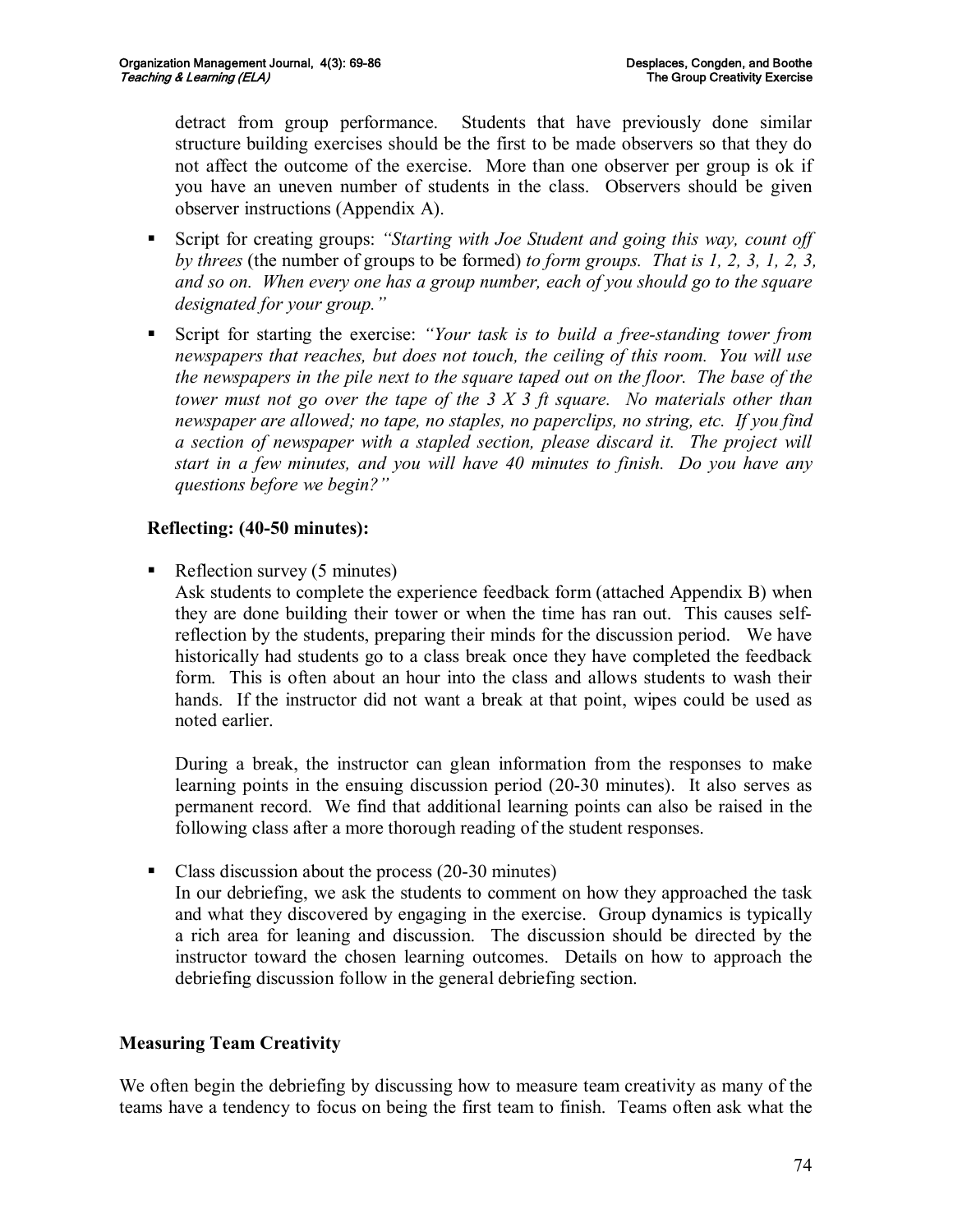detract from group performance. Students that have previously done similar structure building exercises should be the first to be made observers so that they do not affect the outcome of the exercise. More than one observer per group is ok if you have an uneven number of students in the class. Observers should be given observer instructions (Appendix A).

- ß Script for creating groups: *"Starting with Joe Student and going this way, count off by threes* (the number of groups to be formed) *to form groups. That is 1, 2, 3, 1, 2, 3, and so on. When every one has a group number, each of you should go to the square designated for your group."*
- ß Script for starting the exercise: *"Your task is to build a freestanding tower from newspapers that reaches, but does not touch, the ceiling of this room. You will use the newspapers in the pile next to the square taped out on the floor. The base of the tower must not go over the tape of the 3 X 3 ft square. No materials other than newspaper are allowed; no tape, no staples, no paperclips, no string, etc. If you find a section of newspaper with a stapled section, please discard it. The project will start in a few minutes, and you will have 40 minutes to finish. Do you have any questions before we begin?"*

#### **Reflecting:** (40-50 minutes):

- Reflection survey  $(5 \text{ minutes})$ 
	- Ask students to complete the experience feedback form (attached Appendix B) when they are done building their tower or when the time has ran out. This causes selfreflection by the students, preparing their minds for the discussion period. We have historically had students go to a class break once they have completed the feedback form. This is often about an hour into the class and allows students to wash their hands. If the instructor did not want a break at that point, wipes could be used as noted earlier.

During a break, the instructor can glean information from the responses to make learning points in the ensuing discussion period (2030 minutes). It also serves as permanent record. We find that additional learning points can also be raised in the following class after a more thorough reading of the student responses.

Class discussion about the process  $(20-30 \text{ minutes})$ In our debriefing, we ask the students to comment on how they approached the task and what they discovered by engaging in the exercise. Group dynamics is typically a rich area for leaning and discussion. The discussion should be directed by the instructor toward the chosen learning outcomes. Details on how to approach the debriefing discussion follow in the general debriefing section.

#### **Measuring Team Creativity**

We often begin the debriefing by discussing how to measure team creativity as many of the teams have a tendency to focus on being the first team to finish. Teams often ask what the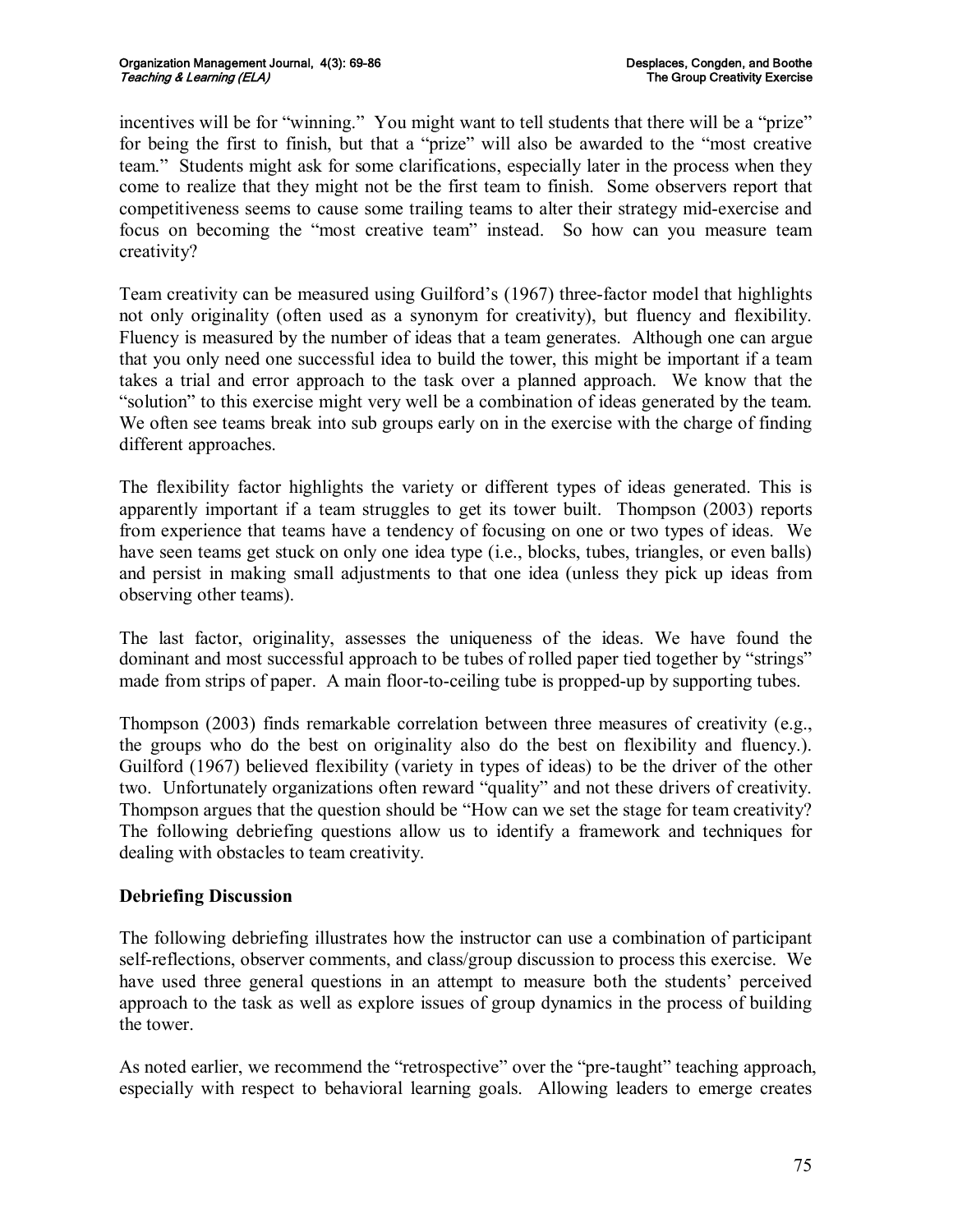incentives will be for "winning." You might want to tell students that there will be a "prize" for being the first to finish, but that a "prize" will also be awarded to the "most creative" team." Students might ask for some clarifications, especially later in the process when they come to realize that they might not be the first team to finish. Some observers report that competitiveness seems to cause some trailing teams to alter their strategy midexercise and focus on becoming the "most creative team" instead. So how can you measure team creativity?

Team creativity can be measured using Guilford's (1967) threefactor model that highlights not only originality (often used as a synonym for creativity), but fluency and flexibility. Fluency is measured by the number of ideas that a team generates. Although one can argue that you only need one successful idea to build the tower, this might be important if a team takes a trial and error approach to the task over a planned approach. We know that the "solution" to this exercise might very well be a combination of ideas generated by the team. We often see teams break into sub groups early on in the exercise with the charge of finding different approaches.

The flexibility factor highlights the variety or different types of ideas generated. This is apparently important if a team struggles to get its tower built. Thompson (2003) reports from experience that teams have a tendency of focusing on one or two types of ideas. We have seen teams get stuck on only one idea type (i.e., blocks, tubes, triangles, or even balls) and persist in making small adjustments to that one idea (unless they pick up ideas from observing other teams).

The last factor, originality, assesses the uniqueness of the ideas. We have found the dominant and most successful approach to be tubes of rolled paper tied together by "strings" made from strips of paper. A main floor-to-ceiling tube is propped-up by supporting tubes.

Thompson (2003) finds remarkable correlation between three measures of creativity (e.g., the groups who do the best on originality also do the best on flexibility and fluency.). Guilford (1967) believed flexibility (variety in types of ideas) to be the driver of the other two. Unfortunately organizations often reward "quality" and not these drivers of creativity. Thompson argues that the question should be "How can we set the stage for team creativity? The following debriefing questions allow us to identify a framework and techniques for dealing with obstacles to team creativity.

#### **Debriefing Discussion**

The following debriefing illustrates how the instructor can use a combination of participant self-reflections, observer comments, and class/group discussion to process this exercise. We have used three general questions in an attempt to measure both the students' perceived approach to the task as well as explore issues of group dynamics in the process of building the tower.

As noted earlier, we recommend the "retrospective" over the "pre-taught" teaching approach, especially with respect to behavioral learning goals. Allowing leaders to emerge creates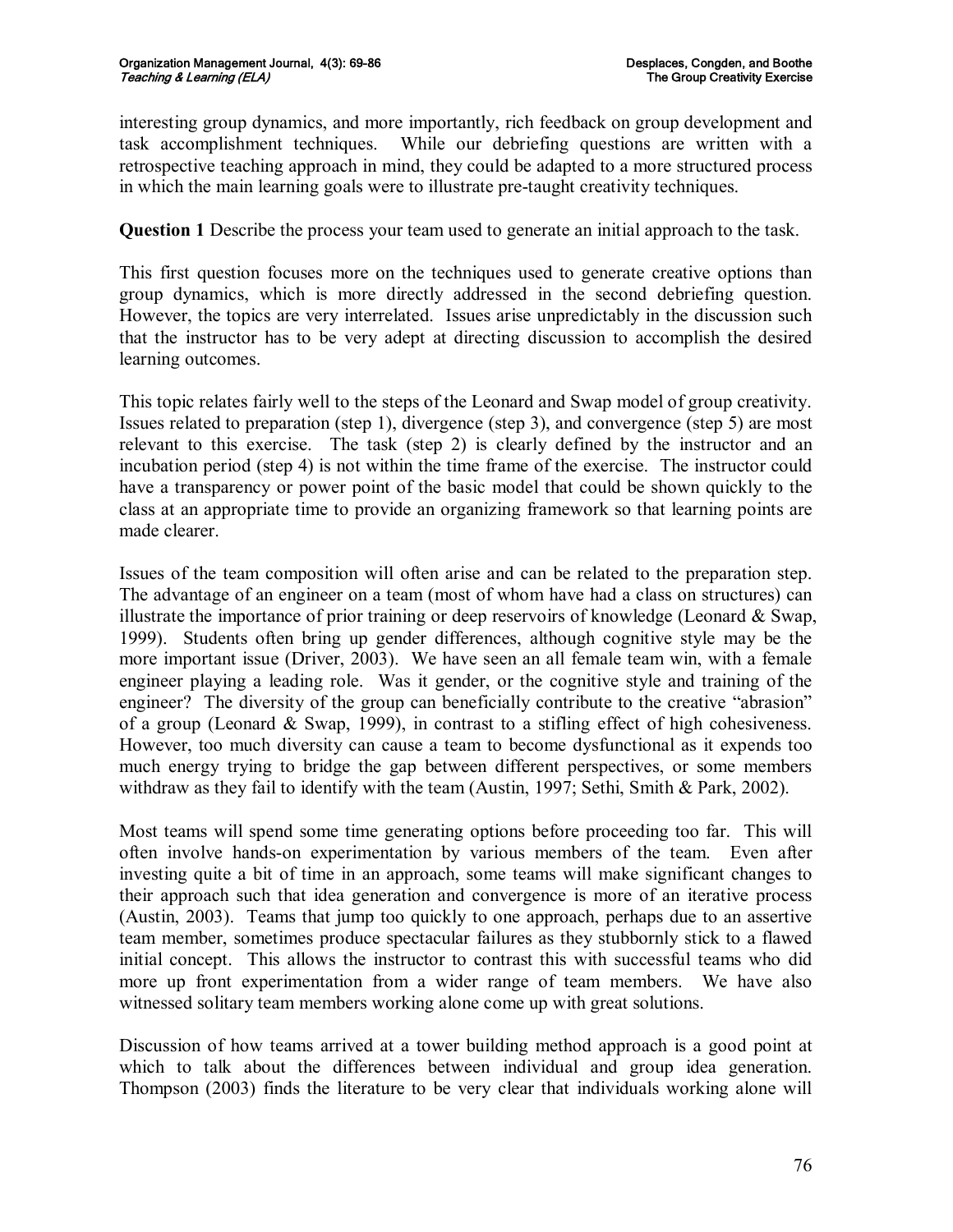interesting group dynamics, and more importantly, rich feedback on group development and task accomplishment techniques. While our debriefing questions are written with a retrospective teaching approach in mind, they could be adapted to a more structured process in which the main learning goals were to illustrate pre-taught creativity techniques.

**Question 1** Describe the process your team used to generate an initial approach to the task.

This first question focuses more on the techniques used to generate creative options than group dynamics, which is more directly addressed in the second debriefing question. However, the topics are very interrelated. Issues arise unpredictably in the discussion such that the instructor has to be very adept at directing discussion to accomplish the desired learning outcomes.

This topic relates fairly well to the steps of the Leonard and Swap model of group creativity. Issues related to preparation (step 1), divergence (step 3), and convergence (step 5) are most relevant to this exercise. The task (step 2) is clearly defined by the instructor and an incubation period (step 4) is not within the time frame of the exercise. The instructor could have a transparency or power point of the basic model that could be shown quickly to the class at an appropriate time to provide an organizing framework so that learning points are made clearer.

Issues of the team composition will often arise and can be related to the preparation step. The advantage of an engineer on a team (most of whom have had a class on structures) can illustrate the importance of prior training or deep reservoirs of knowledge (Leonard & Swap, 1999). Students often bring up gender differences, although cognitive style may be the more important issue (Driver, 2003). We have seen an all female team win, with a female engineer playing a leading role. Was it gender, or the cognitive style and training of the engineer? The diversity of the group can beneficially contribute to the creative "abrasion" of a group (Leonard & Swap, 1999), in contrast to a stifling effect of high cohesiveness. However, too much diversity can cause a team to become dysfunctional as it expends too much energy trying to bridge the gap between different perspectives, or some members withdraw as they fail to identify with the team (Austin, 1997; Sethi, Smith & Park, 2002).

Most teams will spend some time generating options before proceeding too far. This will often involve hands-on experimentation by various members of the team. Even after investing quite a bit of time in an approach, some teams will make significant changes to their approach such that idea generation and convergence is more of an iterative process (Austin, 2003). Teams that jump too quickly to one approach, perhaps due to an assertive team member, sometimes produce spectacular failures as they stubbornly stick to a flawed initial concept. This allows the instructor to contrast this with successful teams who did more up front experimentation from a wider range of team members. We have also witnessed solitary team members working alone come up with great solutions.

Discussion of how teams arrived at a tower building method approach is a good point at which to talk about the differences between individual and group idea generation. Thompson (2003) finds the literature to be very clear that individuals working alone will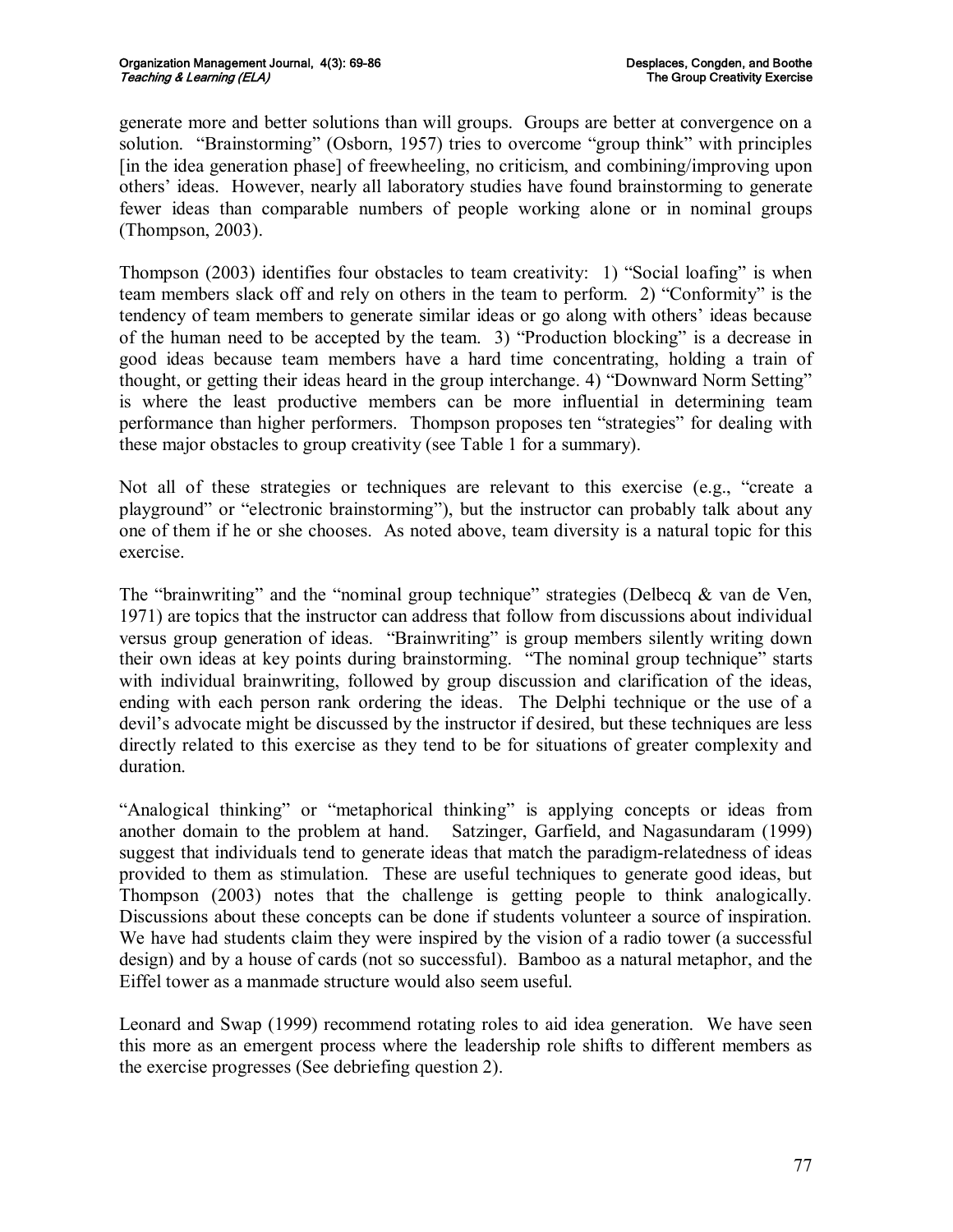generate more and better solutions than will groups. Groups are better at convergence on a solution. "Brainstorming" (Osborn, 1957) tries to overcome "group think" with principles [in the idea generation phase] of freewheeling, no criticism, and combining/improving upon others' ideas. However, nearly all laboratory studies have found brainstorming to generate fewer ideas than comparable numbers of people working alone or in nominal groups (Thompson, 2003).

Thompson (2003) identifies four obstacles to team creativity: 1) "Social loafing" is when team members slack off and rely on others in the team to perform. 2) "Conformity" is the tendency of team members to generate similar ideas or go along with others' ideas because of the human need to be accepted by the team. 3) "Production blocking" is a decrease in good ideas because team members have a hard time concentrating, holding a train of thought, or getting their ideas heard in the group interchange. 4) "Downward Norm Setting" is where the least productive members can be more influential in determining team performance than higher performers. Thompson proposes ten "strategies" for dealing with these major obstacles to group creativity (see Table 1 for a summary).

Not all of these strategies or techniques are relevant to this exercise (e.g., "create a playground" or "electronic brainstorming"), but the instructor can probably talk about any one of them if he or she chooses. As noted above, team diversity is a natural topic for this exercise.

The "brainwriting" and the "nominal group technique" strategies (Delbecq  $\&$  van de Ven, 1971) are topics that the instructor can address that follow from discussions about individual versus group generation of ideas. "Brainwriting" is group members silently writing down their own ideas at key points during brainstorming. "The nominal group technique" starts with individual brainwriting, followed by group discussion and clarification of the ideas, ending with each person rank ordering the ideas. The Delphi technique or the use of a devil's advocate might be discussed by the instructor if desired, but these techniques are less directly related to this exercise as they tend to be for situations of greater complexity and duration.

"Analogical thinking" or "metaphorical thinking" is applying concepts or ideas from another domain to the problem at hand. Satzinger, Garfield, and Nagasundaram (1999) suggest that individuals tend to generate ideas that match the paradigm-relatedness of ideas provided to them as stimulation. These are useful techniques to generate good ideas, but Thompson (2003) notes that the challenge is getting people to think analogically. Discussions about these concepts can be done if students volunteer a source of inspiration. We have had students claim they were inspired by the vision of a radio tower (a successful design) and by a house of cards (not so successful). Bamboo as a natural metaphor, and the Eiffel tower as a manmade structure would also seem useful.

Leonard and Swap (1999) recommend rotating roles to aid idea generation. We have seen this more as an emergent process where the leadership role shifts to different members as the exercise progresses (See debriefing question 2).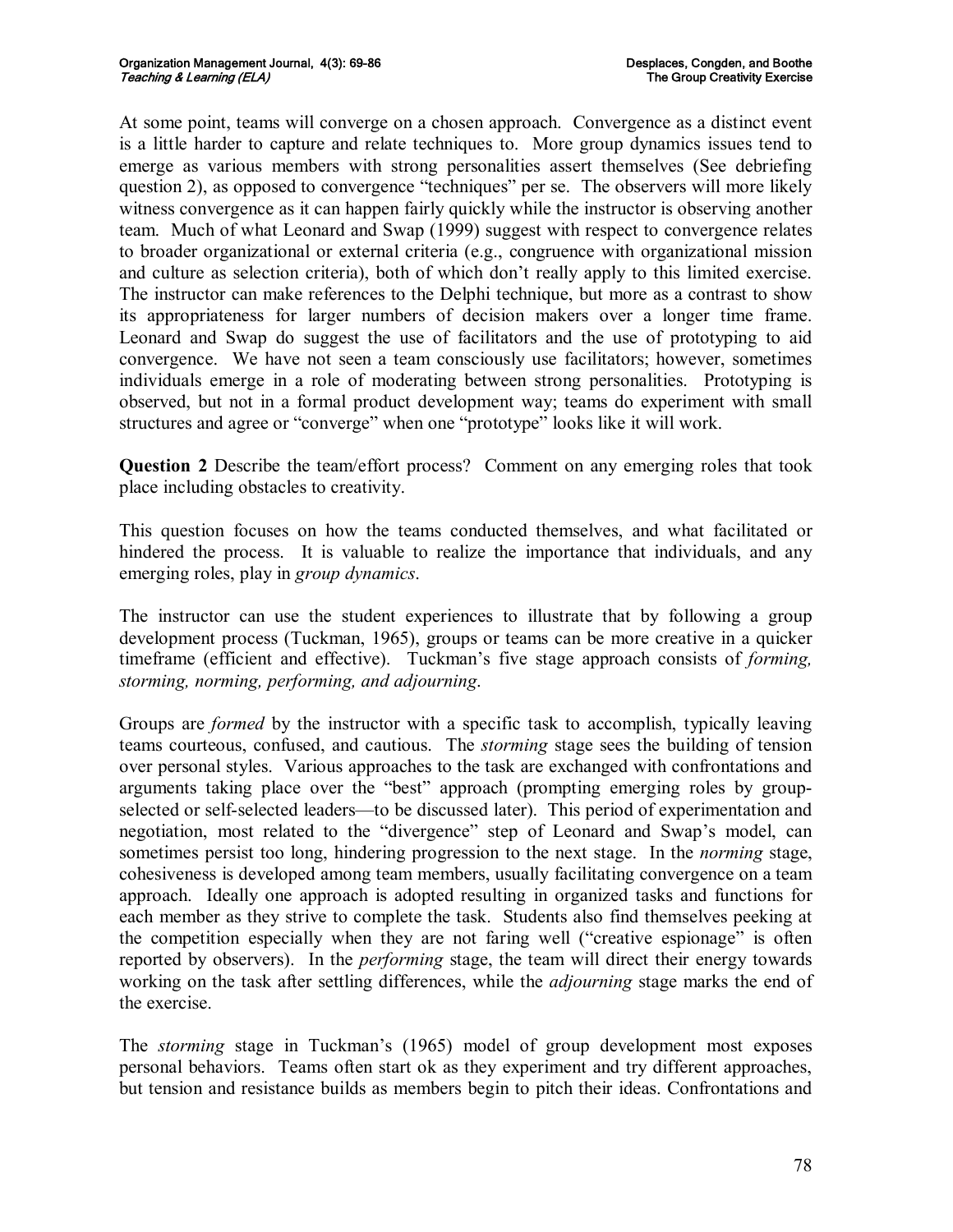At some point, teams will converge on a chosen approach. Convergence as a distinct event is a little harder to capture and relate techniques to. More group dynamics issues tend to emerge as various members with strong personalities assert themselves (See debriefing question 2), as opposed to convergence "techniques" per se. The observers will more likely witness convergence as it can happen fairly quickly while the instructor is observing another team. Much of what Leonard and Swap (1999) suggest with respect to convergence relates to broader organizational or external criteria (e.g., congruence with organizational mission and culture as selection criteria), both of which don't really apply to this limited exercise. The instructor can make references to the Delphi technique, but more as a contrast to show its appropriateness for larger numbers of decision makers over a longer time frame. Leonard and Swap do suggest the use of facilitators and the use of prototyping to aid convergence. We have not seen a team consciously use facilitators; however, sometimes individuals emerge in a role of moderating between strong personalities. Prototyping is observed, but not in a formal product development way; teams do experiment with small structures and agree or "converge" when one "prototype" looks like it will work.

**Question 2** Describe the team/effort process? Comment on any emerging roles that took place including obstacles to creativity.

This question focuses on how the teams conducted themselves, and what facilitated or hindered the process. It is valuable to realize the importance that individuals, and any emerging roles, play in *group dynamics*.

The instructor can use the student experiences to illustrate that by following a group development process (Tuckman, 1965), groups or teams can be more creative in a quicker timeframe (efficient and effective). Tuckman's five stage approach consists of *forming, storming, norming, performing, and adjourning*.

Groups are *formed* by the instructor with a specific task to accomplish, typically leaving teams courteous, confused, and cautious. The *storming* stage sees the building of tension over personal styles. Various approaches to the task are exchanged with confrontations and arguments taking place over the "best" approach (prompting emerging roles by groupselected or self-selected leaders—to be discussed later). This period of experimentation and negotiation, most related to the "divergence" step of Leonard and Swap's model, can sometimes persist too long, hindering progression to the next stage. In the *norming* stage, cohesiveness is developed among team members, usually facilitating convergence on a team approach. Ideally one approach is adopted resulting in organized tasks and functions for each member as they strive to complete the task. Students also find themselves peeking at the competition especially when they are not faring well ("creative espionage" is often reported by observers). In the *performing* stage, the team will direct their energy towards working on the task after settling differences, while the *adjourning* stage marks the end of the exercise.

The *storming* stage in Tuckman's (1965) model of group development most exposes personal behaviors. Teams often start ok as they experiment and try different approaches, but tension and resistance builds as members begin to pitch their ideas. Confrontations and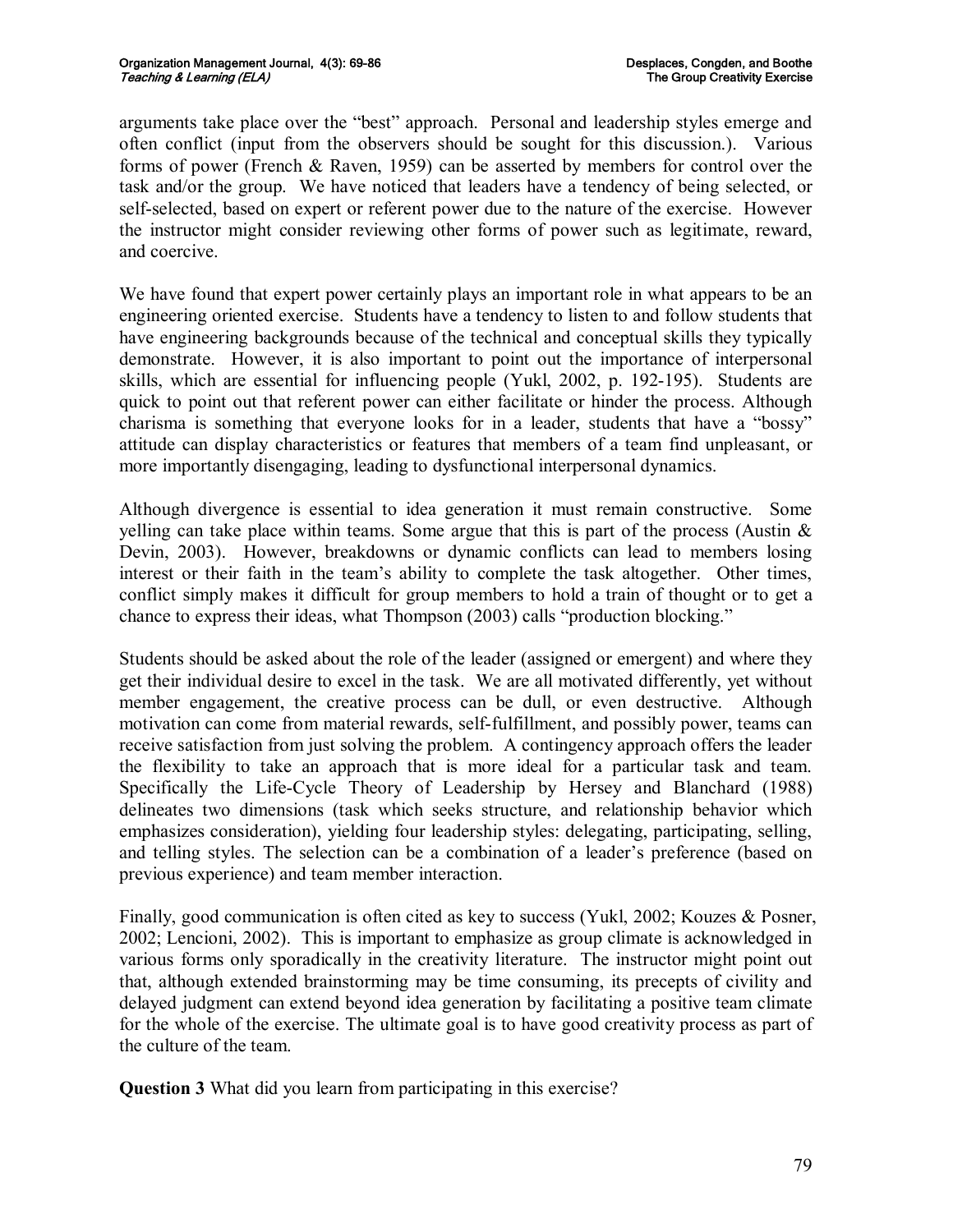arguments take place over the "best" approach. Personal and leadership styles emerge and often conflict (input from the observers should be sought for this discussion.). Various forms of power (French & Raven, 1959) can be asserted by members for control over the task and/or the group. We have noticed that leaders have a tendency of being selected, or self-selected, based on expert or referent power due to the nature of the exercise. However the instructor might consider reviewing other forms of power such as legitimate, reward, and coercive.

We have found that expert power certainly plays an important role in what appears to be an engineering oriented exercise. Students have a tendency to listen to and follow students that have engineering backgrounds because of the technical and conceptual skills they typically demonstrate. However, it is also important to point out the importance of interpersonal skills, which are essential for influencing people (Yukl, 2002, p. 192195). Students are quick to point out that referent power can either facilitate or hinder the process. Although charisma is something that everyone looks for in a leader, students that have a "bossy" attitude can display characteristics or features that members of a team find unpleasant, or more importantly disengaging, leading to dysfunctional interpersonal dynamics.

Although divergence is essential to idea generation it must remain constructive. Some yelling can take place within teams. Some argue that this is part of the process (Austin & Devin, 2003). However, breakdowns or dynamic conflicts can lead to members losing interest or their faith in the team's ability to complete the task altogether. Other times, conflict simply makes it difficult for group members to hold a train of thought or to get a chance to express their ideas, what Thompson (2003) calls "production blocking."

Students should be asked about the role of the leader (assigned or emergent) and where they get their individual desire to excel in the task. We are all motivated differently, yet without member engagement, the creative process can be dull, or even destructive. Although motivation can come from material rewards, self-fulfillment, and possibly power, teams can receive satisfaction from just solving the problem. A contingency approach offers the leader the flexibility to take an approach that is more ideal for a particular task and team. Specifically the Life-Cycle Theory of Leadership by Hersey and Blanchard (1988) delineates two dimensions (task which seeks structure, and relationship behavior which emphasizes consideration), yielding four leadership styles: delegating, participating, selling, and telling styles. The selection can be a combination of a leader's preference (based on previous experience) and team member interaction.

Finally, good communication is often cited as key to success (Yukl, 2002; Kouzes & Posner, 2002; Lencioni, 2002). This is important to emphasize as group climate is acknowledged in various forms only sporadically in the creativity literature. The instructor might point out that, although extended brainstorming may be time consuming, its precepts of civility and delayed judgment can extend beyond idea generation by facilitating a positive team climate for the whole of the exercise. The ultimate goal is to have good creativity process as part of the culture of the team.

**Question 3** What did you learn from participating in this exercise?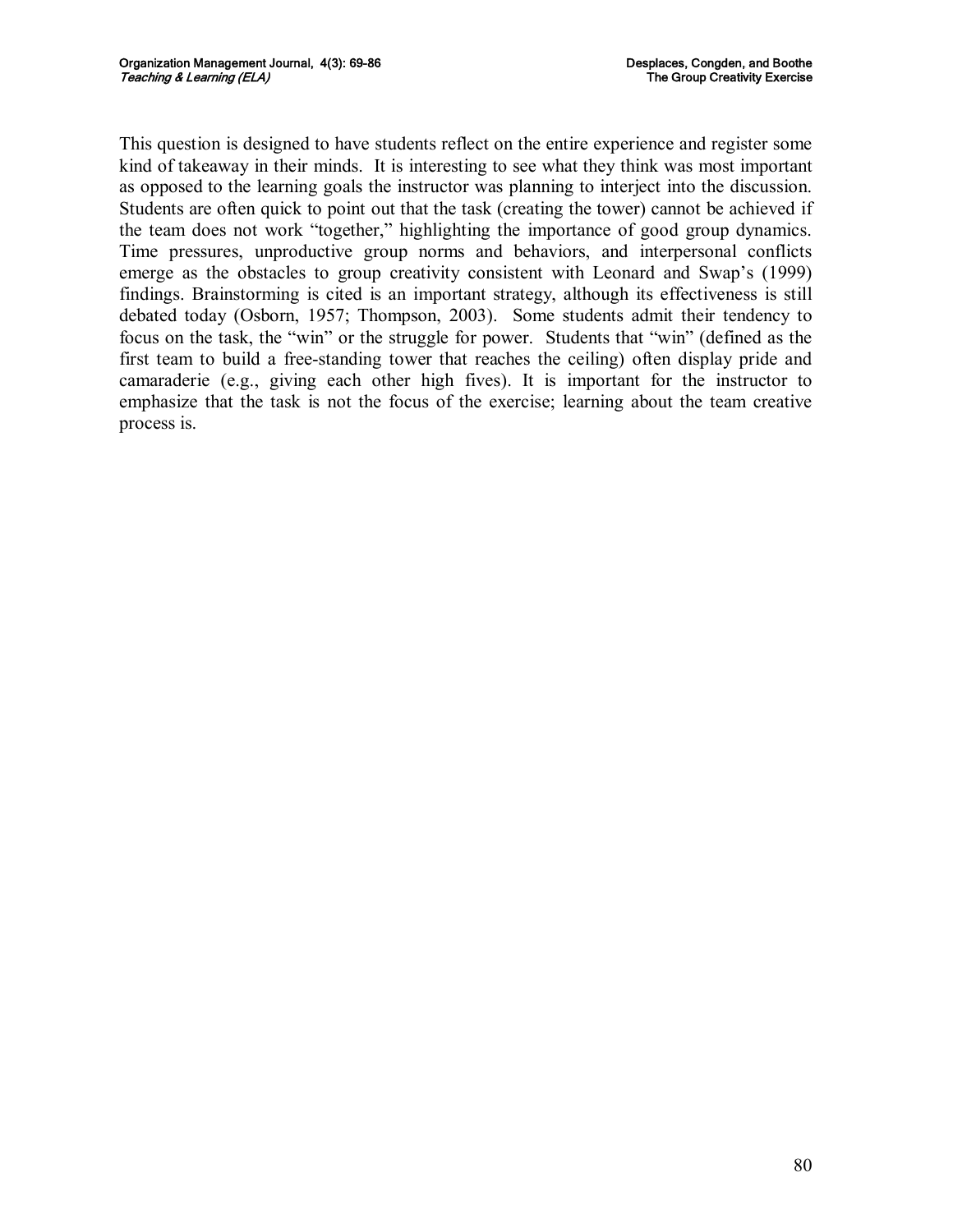This question is designed to have students reflect on the entire experience and register some kind of takeaway in their minds. It is interesting to see what they think was most important as opposed to the learning goals the instructor was planning to interject into the discussion. Students are often quick to point out that the task (creating the tower) cannot be achieved if the team does not work "together," highlighting the importance of good group dynamics. Time pressures, unproductive group norms and behaviors, and interpersonal conflicts emerge as the obstacles to group creativity consistent with Leonard and Swap's (1999) findings. Brainstorming is cited is an important strategy, although its effectiveness is still debated today (Osborn, 1957; Thompson, 2003). Some students admit their tendency to focus on the task, the "win" or the struggle for power. Students that "win" (defined as the first team to build a free-standing tower that reaches the ceiling) often display pride and camaraderie (e.g., giving each other high fives). It is important for the instructor to emphasize that the task is not the focus of the exercise; learning about the team creative process is.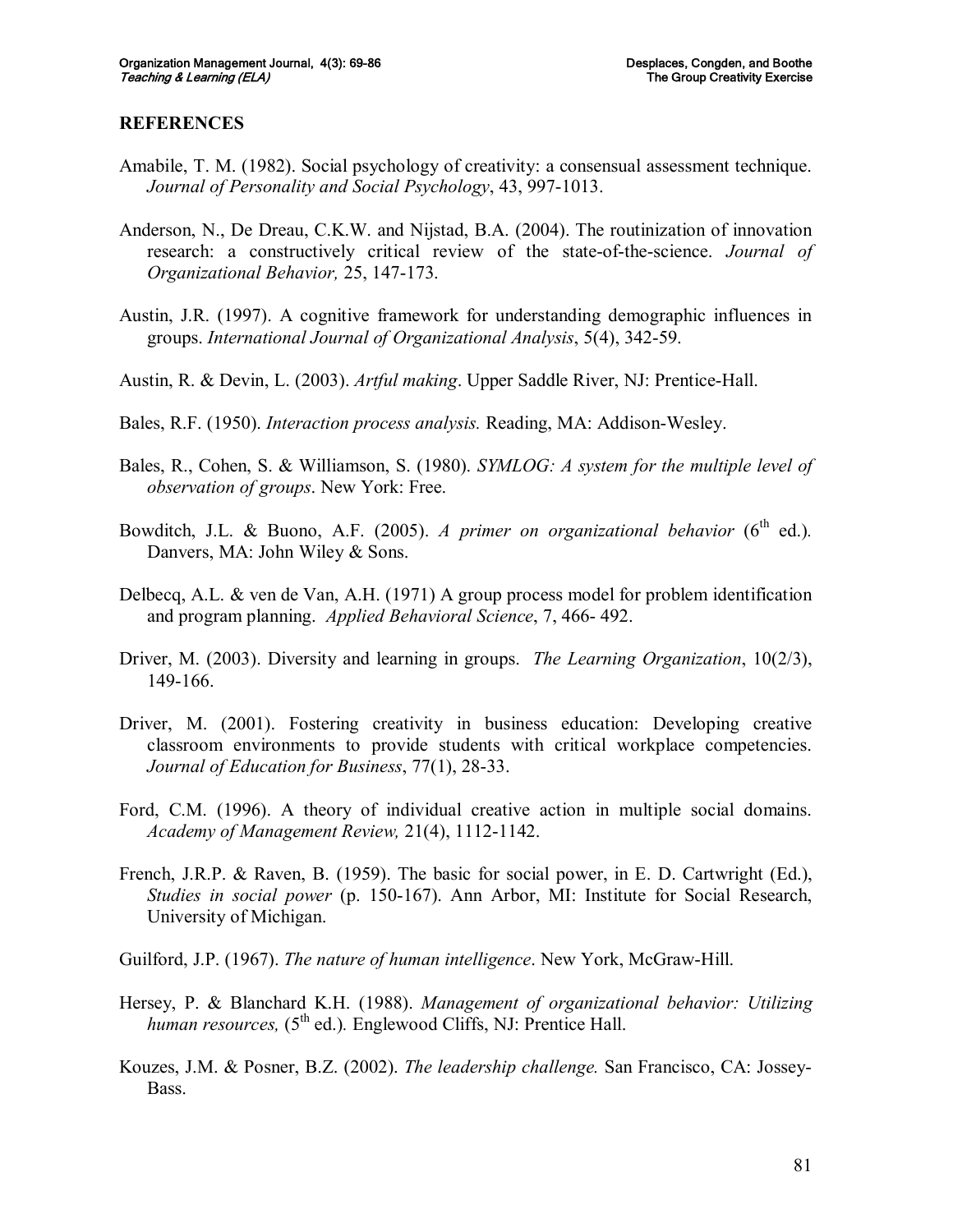#### **REFERENCES**

- Amabile, T. M. (1982). Social psychology of creativity: a consensual assessment technique. *Journal of Personality and Social Psychology*, 43, 997-1013.
- Anderson, N., De Dreau, C.K.W. and Nijstad, B.A. (2004). The routinization of innovation research: a constructively critical review of the state-of-the-science. *Journal of Organizational Behavior, 25, 147-173.*
- Austin, J.R. (1997). A cognitive framework for understanding demographic influences in groups. *International Journal of Organizational Analysis*, 5(4), 34259.
- Austin, R. & Devin, L. (2003). *Artful making*. Upper Saddle River, NJ: Prentice-Hall.
- Bales, R.F. (1950). *Interaction process analysis.* Reading, MA: Addison-Wesley.
- Bales, R., Cohen, S. & Williamson, S. (1980). *SYMLOG: A system for the multiple level of observation of groups*. New York: Free.
- Bowditch, J.L. & Buono, A.F. (2005). *A primer on organizational behavior* (6<sup>th</sup> ed.). Danvers, MA: John Wiley & Sons.
- Delbecq, A.L. & ven de Van, A.H. (1971) A group process model for problem identification and program planning. *Applied Behavioral Science*, 7, 466-492.
- Driver, M. (2003). Diversity and learning in groups. *The Learning Organization*, 10(2/3), 149-166.
- Driver, M. (2001). Fostering creativity in business education: Developing creative classroom environments to provide students with critical workplace competencies. *Journal of Education for Business, 77(1), 28-33.*
- Ford, C.M. (1996). A theory of individual creative action in multiple social domains. *Academy of Management Review, 21(4), 1112-1142.*
- French, J.R.P. & Raven, B. (1959). The basic for social power, in E. D. Cartwright (Ed.), *Studies in social power* (p. 150-167). Ann Arbor, MI: Institute for Social Research, University of Michigan.
- Guilford, J.P. (1967). *The nature of human intelligence*. New York, McGraw-Hill.
- Hersey, P. & Blanchard K.H. (1988). *Management of organizational behavior: Utilizing human resources,* (5<sup>th</sup> ed.). Englewood Cliffs, NJ: Prentice Hall.
- Kouzes, J.M. & Posner, B.Z. (2002). *The leadership challenge.* San Francisco, CA: Jossey Bass.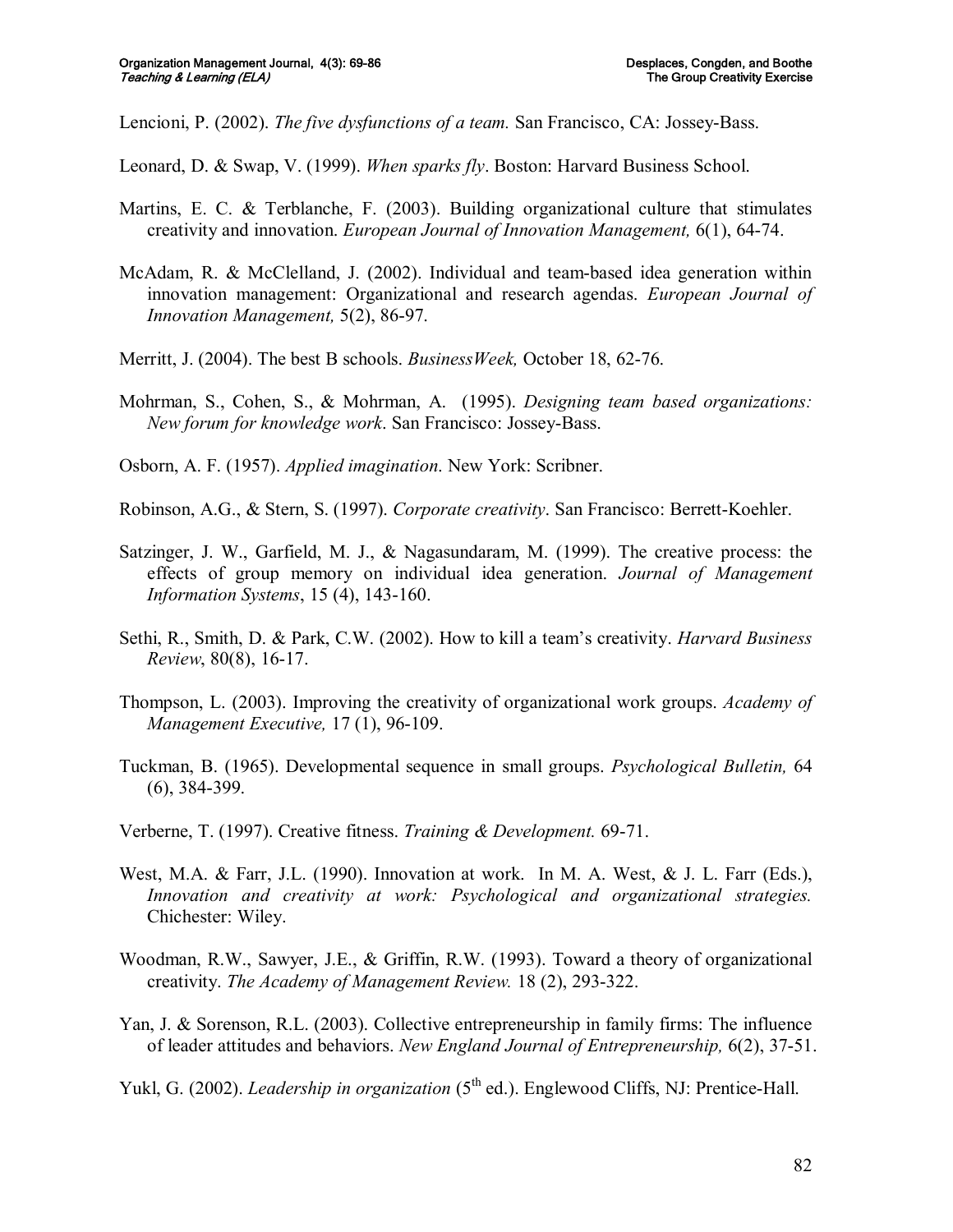Lencioni, P. (2002). *The five dysfunctions of a team.* San Francisco, CA: Jossey-Bass.

Leonard, D. & Swap, V. (1999). *When sparks fly*. Boston: Harvard Business School.

- Martins, E. C. & Terblanche, F. (2003). Building organizational culture that stimulates creativity and innovation. *European Journal of Innovation Management,* 6(1), 6474.
- McAdam, R. & McClelland, J. (2002). Individual and team-based idea generation within innovation management: Organizational and research agendas. *European Journal of Innovation Management,* 5(2), 86-97.
- Merritt, J. (2004). The best B schools. *BusinessWeek*, October 18, 62-76.
- Mohrman, S., Cohen, S., & Mohrman, A. (1995). *Designing team based organizations: New forum for knowledge work.* San Francisco: Jossey-Bass.

Osborn, A. F. (1957). *Applied imagination*. New York: Scribner.

Robinson, A.G., & Stern, S. (1997). *Corporate creativity*. San Francisco: Berrett-Koehler.

- Satzinger, J. W., Garfield, M. J., & Nagasundaram, M. (1999). The creative process: the effects of group memory on individual idea generation. *Journal of Management Information Systems*, 15 (4), 143-160.
- Sethi, R., Smith, D. & Park, C.W. (2002). How to kill a team's creativity. *Harvard Business Review*, 80(8), 16-17.
- Thompson, L. (2003). Improving the creativity of organizational work groups. *Academy of Management Executive,* 17(1), 96-109.
- Tuckman, B. (1965). Developmental sequence in small groups. *Psychological Bulletin,* 64  $(6)$ , 384-399.
- Verberne, T. (1997). Creative fitness. *Training & Development.* 69-71.
- West, M.A. & Farr, J.L. (1990). Innovation at work. In M. A. West, & J. L. Farr (Eds.), *Innovation and creativity at work: Psychological and organizational strategies.* Chichester: Wiley.
- Woodman, R.W., Sawyer, J.E., & Griffin, R.W. (1993). Toward a theory of organizational creativity. *The Academy of Management Review.* 18 (2), 293-322.
- Yan, J. & Sorenson, R.L. (2003). Collective entrepreneurship in family firms: The influence of leader attitudes and behaviors. *New England Journal of Entrepreneurship,* 6(2), 3751.
- Yukl, G. (2002). *Leadership in organization* (5<sup>th</sup> ed.). Englewood Cliffs, NJ: Prentice-Hall.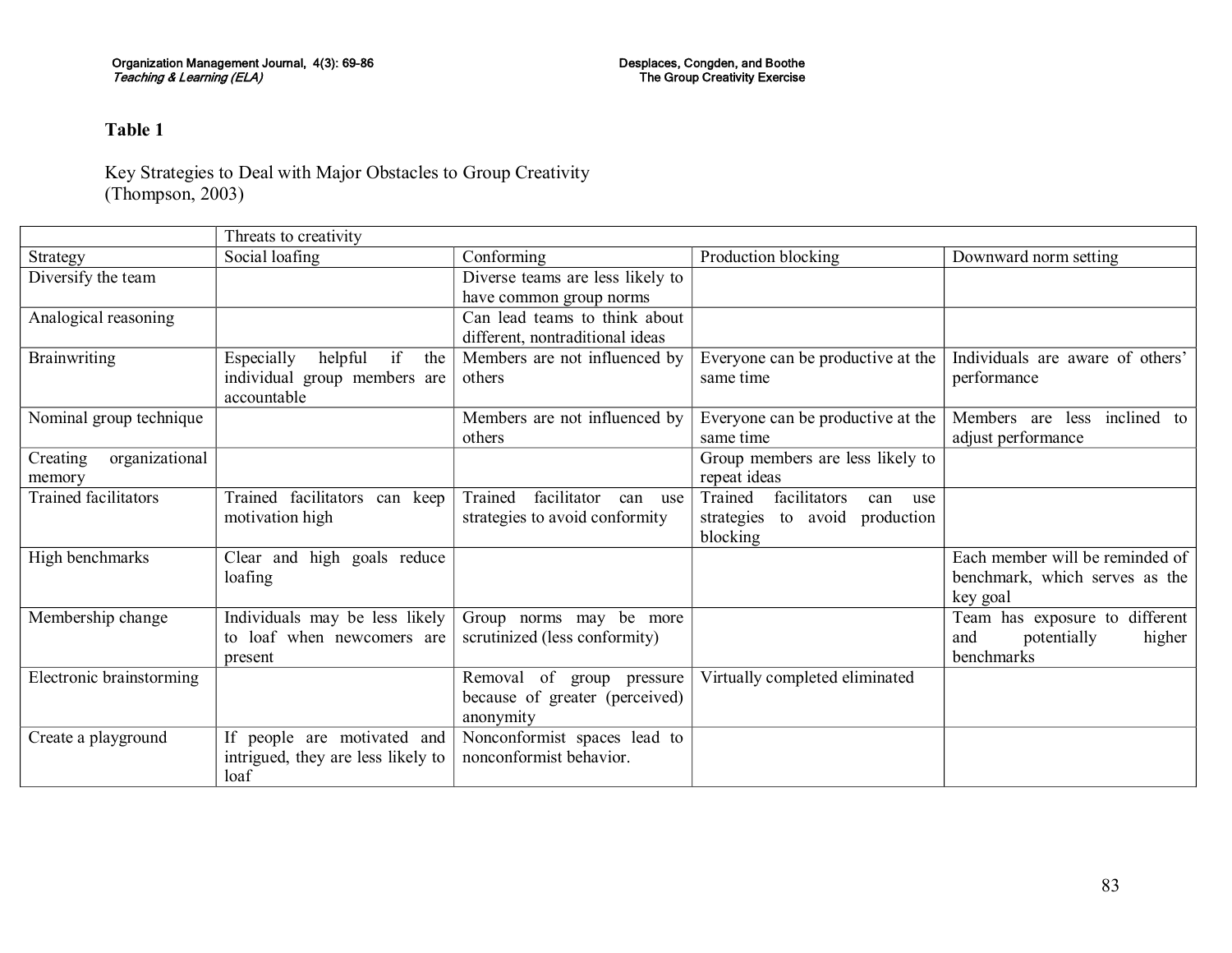#### **Table 1**

Key Strategies to Deal with Major Obstacles to Group Creativity (Thompson, 2003)

|                             | Threats to creativity                  |                                   |                                       |                                  |
|-----------------------------|----------------------------------------|-----------------------------------|---------------------------------------|----------------------------------|
| Strategy                    | Social loafing                         | Conforming                        | Production blocking                   | Downward norm setting            |
| Diversify the team          |                                        | Diverse teams are less likely to  |                                       |                                  |
|                             |                                        | have common group norms           |                                       |                                  |
| Analogical reasoning        |                                        | Can lead teams to think about     |                                       |                                  |
|                             |                                        | different, nontraditional ideas   |                                       |                                  |
| <b>Brainwriting</b>         | if<br>Especially<br>helpful<br>the     | Members are not influenced by     | Everyone can be productive at the     | Individuals are aware of others' |
|                             | individual group members are           | others                            | same time                             | performance                      |
|                             | accountable                            |                                   |                                       |                                  |
| Nominal group technique     |                                        | Members are not influenced by     | Everyone can be productive at the     | Members are less inclined to     |
|                             |                                        | others                            | same time                             | adjust performance               |
| organizational<br>Creating  |                                        |                                   | Group members are less likely to      |                                  |
| memory                      |                                        |                                   | repeat ideas                          |                                  |
| <b>Trained facilitators</b> | facilitators<br>Trained<br>keep<br>can | Trained<br>facilitator<br>can use | facilitators<br>Trained<br>can<br>use |                                  |
|                             | motivation high                        | strategies to avoid conformity    | strategies<br>to avoid production     |                                  |
|                             |                                        |                                   | blocking                              |                                  |
| High benchmarks             | Clear and high goals reduce            |                                   |                                       | Each member will be reminded of  |
|                             | loafing                                |                                   |                                       | benchmark, which serves as the   |
|                             |                                        |                                   |                                       | key goal                         |
| Membership change           | Individuals may be less likely         | Group norms may be more           |                                       | Team has exposure to different   |
|                             | to loaf when newcomers are             | scrutinized (less conformity)     |                                       | potentially<br>higher<br>and     |
|                             | present                                |                                   |                                       | benchmarks                       |
| Electronic brainstorming    |                                        | Removal of group pressure         | Virtually completed eliminated        |                                  |
|                             |                                        | because of greater (perceived)    |                                       |                                  |
|                             |                                        | anonymity                         |                                       |                                  |
| Create a playground         | If people are motivated and            | Nonconformist spaces lead to      |                                       |                                  |
|                             | intrigued, they are less likely to     | nonconformist behavior.           |                                       |                                  |
|                             | loaf                                   |                                   |                                       |                                  |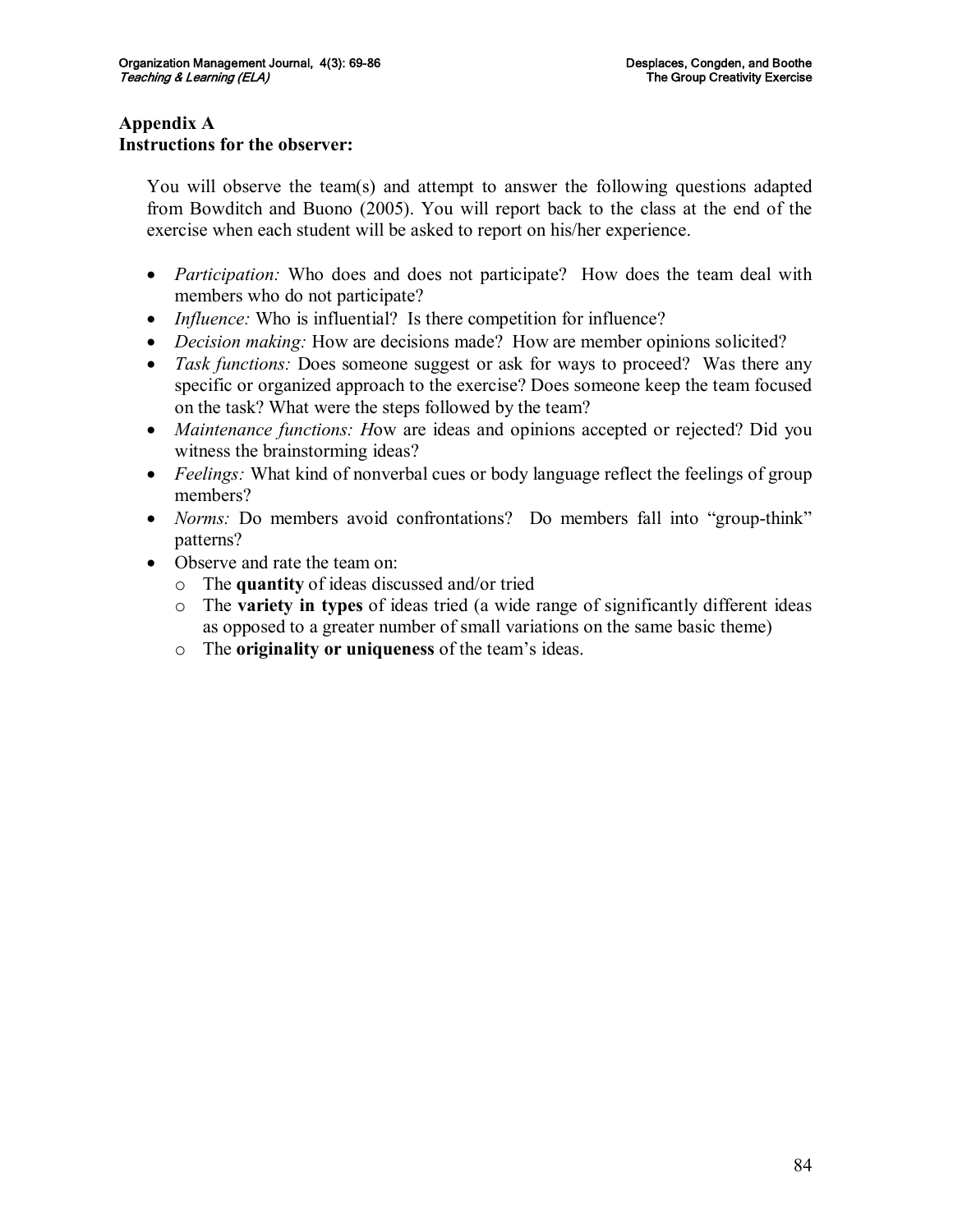#### **Appendix A Instructions for the observer:**

You will observe the team(s) and attempt to answer the following questions adapted from Bowditch and Buono (2005). You will report back to the class at the end of the exercise when each student will be asked to report on his/her experience.

- *Participation:* Who does and does not participate? How does the team deal with members who do not participate?
- *Influence:* Who is influential? Is there competition for influence?
- · *Decision making:* How are decisions made? How are member opinions solicited?
- · *Task functions:* Does someone suggest or ask for ways to proceed? Was there any specific or organized approach to the exercise? Does someone keep the team focused on the task? What were the steps followed by the team?
- *Maintenance functions: How are ideas and opinions accepted or rejected? Did you* witness the brainstorming ideas?
- *Feelings:* What kind of nonverbal cues or body language reflect the feelings of group members?
- *Norms:* Do members avoid confrontations? Do members fall into "group-think" patterns?
- Observe and rate the team on:
	- o The **quantity** of ideas discussed and/or tried
	- o The **variety in types** of ideas tried (a wide range of significantly different ideas as opposed to a greater number of small variations on the same basic theme)
	- o The **originality or uniqueness** of the team's ideas.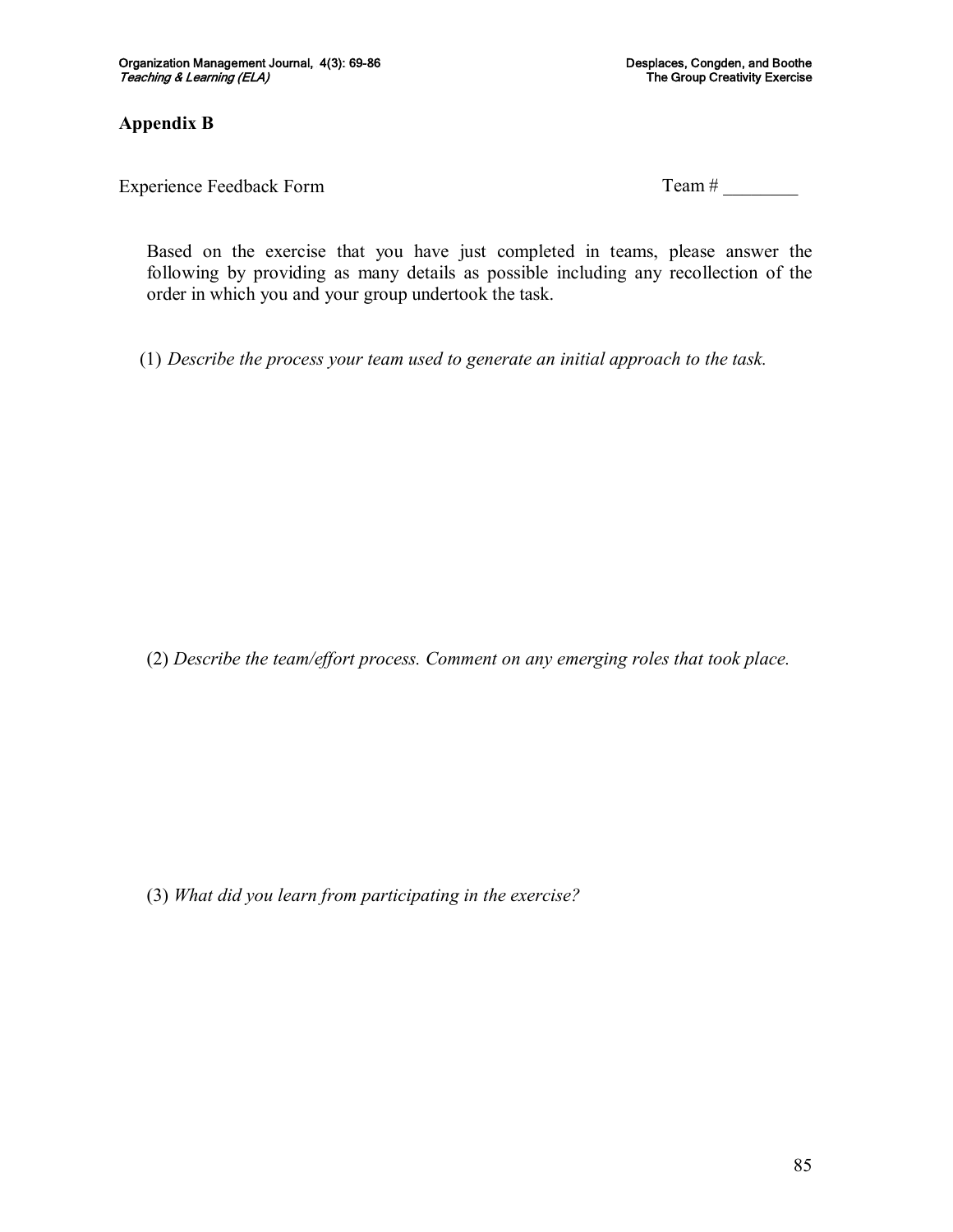Experience Feedback Form

Team  $#$ 

Based on the exercise that you have just completed in teams, please answer the following by providing as many details as possible including any recollection of the order in which you and your group undertook the task.

(1) *Describe the process your team used to generate an initial approach to the task.*

(2) *Describe the team/effort process. Comment on any emerging roles that took place.*

(3) *What did you learn from participating in the exercise?*